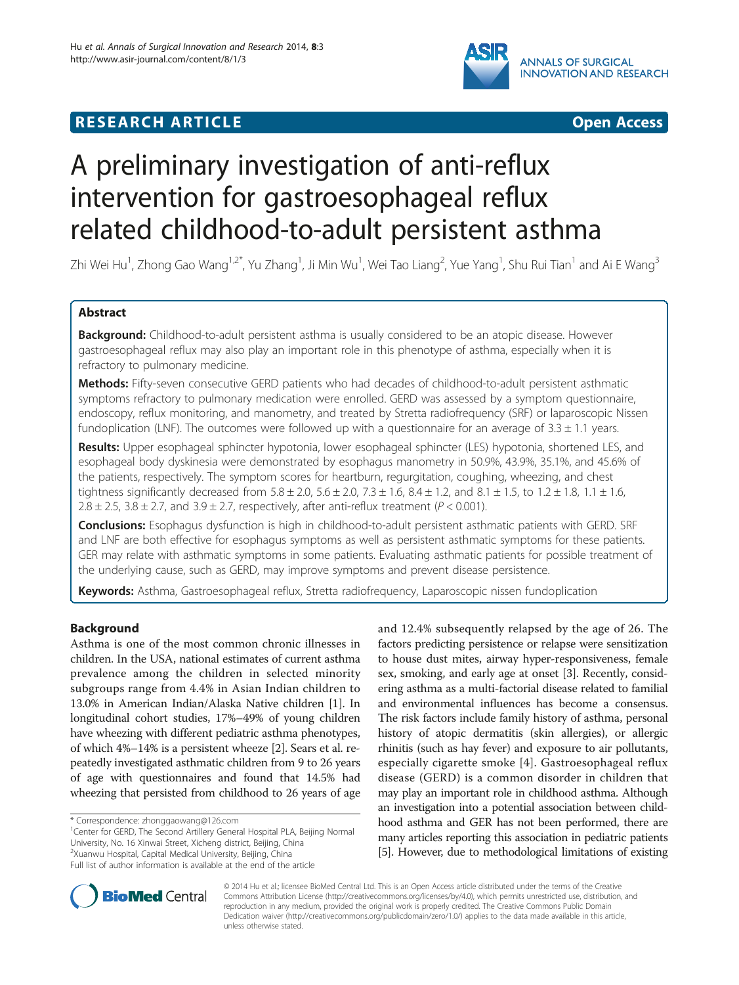

## **RESEARCH ARTICLE CONSUMING A RESEARCH ARTICLE**

# A preliminary investigation of anti-reflux intervention for gastroesophageal reflux related childhood-to-adult persistent asthma

Zhi Wei Hu<sup>1</sup>, Zhong Gao Wang<sup>1,2\*</sup>, Yu Zhang<sup>1</sup>, Ji Min Wu<sup>1</sup>, Wei Tao Liang<sup>2</sup>, Yue Yang<sup>1</sup>, Shu Rui Tian<sup>1</sup> and Ai E Wang<sup>3</sup>

## Abstract

Background: Childhood-to-adult persistent asthma is usually considered to be an atopic disease. However gastroesophageal reflux may also play an important role in this phenotype of asthma, especially when it is refractory to pulmonary medicine.

Methods: Fifty-seven consecutive GERD patients who had decades of childhood-to-adult persistent asthmatic symptoms refractory to pulmonary medication were enrolled. GERD was assessed by a symptom questionnaire, endoscopy, reflux monitoring, and manometry, and treated by Stretta radiofrequency (SRF) or laparoscopic Nissen fundoplication (LNF). The outcomes were followed up with a questionnaire for an average of  $3.3 \pm 1.1$  years.

Results: Upper esophageal sphincter hypotonia, lower esophageal sphincter (LES) hypotonia, shortened LES, and esophageal body dyskinesia were demonstrated by esophagus manometry in 50.9%, 43.9%, 35.1%, and 45.6% of the patients, respectively. The symptom scores for heartburn, regurgitation, coughing, wheezing, and chest tightness significantly decreased from  $5.8 \pm 2.0$ ,  $5.6 \pm 2.0$ ,  $7.3 \pm 1.6$ ,  $8.4 \pm 1.2$ , and  $8.1 \pm 1.5$ , to  $1.2 \pm 1.8$ ,  $1.1 \pm 1.6$ ,  $2.8 \pm 2.5$ ,  $3.8 \pm 2.7$ , and  $3.9 \pm 2.7$ , respectively, after anti-reflux treatment ( $P < 0.001$ ).

Conclusions: Esophagus dysfunction is high in childhood-to-adult persistent asthmatic patients with GERD. SRF and LNF are both effective for esophagus symptoms as well as persistent asthmatic symptoms for these patients. GER may relate with asthmatic symptoms in some patients. Evaluating asthmatic patients for possible treatment of the underlying cause, such as GERD, may improve symptoms and prevent disease persistence.

Keywords: Asthma, Gastroesophageal reflux, Stretta radiofrequency, Laparoscopic nissen fundoplication

## Background

Asthma is one of the most common chronic illnesses in children. In the USA, national estimates of current asthma prevalence among the children in selected minority subgroups range from 4.4% in Asian Indian children to 13.0% in American Indian/Alaska Native children [\[1](#page-5-0)]. In longitudinal cohort studies, 17%–49% of young children have wheezing with different pediatric asthma phenotypes, of which 4%–14% is a persistent wheeze [[2\]](#page-5-0). Sears et al. repeatedly investigated asthmatic children from 9 to 26 years of age with questionnaires and found that 14.5% had wheezing that persisted from childhood to 26 years of age

<sup>1</sup>Center for GERD, The Second Artillery General Hospital PLA, Beijing Normal University, No. 16 Xinwai Street, Xicheng district, Beijing, China

2 Xuanwu Hospital, Capital Medical University, Beijing, China

and 12.4% subsequently relapsed by the age of 26. The factors predicting persistence or relapse were sensitization to house dust mites, airway hyper-responsiveness, female sex, smoking, and early age at onset [[3](#page-5-0)]. Recently, considering asthma as a multi-factorial disease related to familial and environmental influences has become a consensus. The risk factors include family history of asthma, personal history of atopic dermatitis (skin allergies), or allergic rhinitis (such as hay fever) and exposure to air pollutants, especially cigarette smoke [[4](#page-5-0)]. Gastroesophageal reflux disease (GERD) is a common disorder in children that may play an important role in childhood asthma. Although an investigation into a potential association between childhood asthma and GER has not been performed, there are many articles reporting this association in pediatric patients [[5](#page-5-0)]. However, due to methodological limitations of existing



© 2014 Hu et al.; licensee BioMed Central Ltd. This is an Open Access article distributed under the terms of the Creative Commons Attribution License [\(http://creativecommons.org/licenses/by/4.0\)](http://creativecommons.org/licenses/by/4.0), which permits unrestricted use, distribution, and reproduction in any medium, provided the original work is properly credited. The Creative Commons Public Domain Dedication waiver [\(http://creativecommons.org/publicdomain/zero/1.0/](http://creativecommons.org/publicdomain/zero/1.0/)) applies to the data made available in this article, unless otherwise stated.

<sup>\*</sup> Correspondence: [zhonggaowang@126.com](mailto:zhonggaowang@126.com) <sup>1</sup>

Full list of author information is available at the end of the article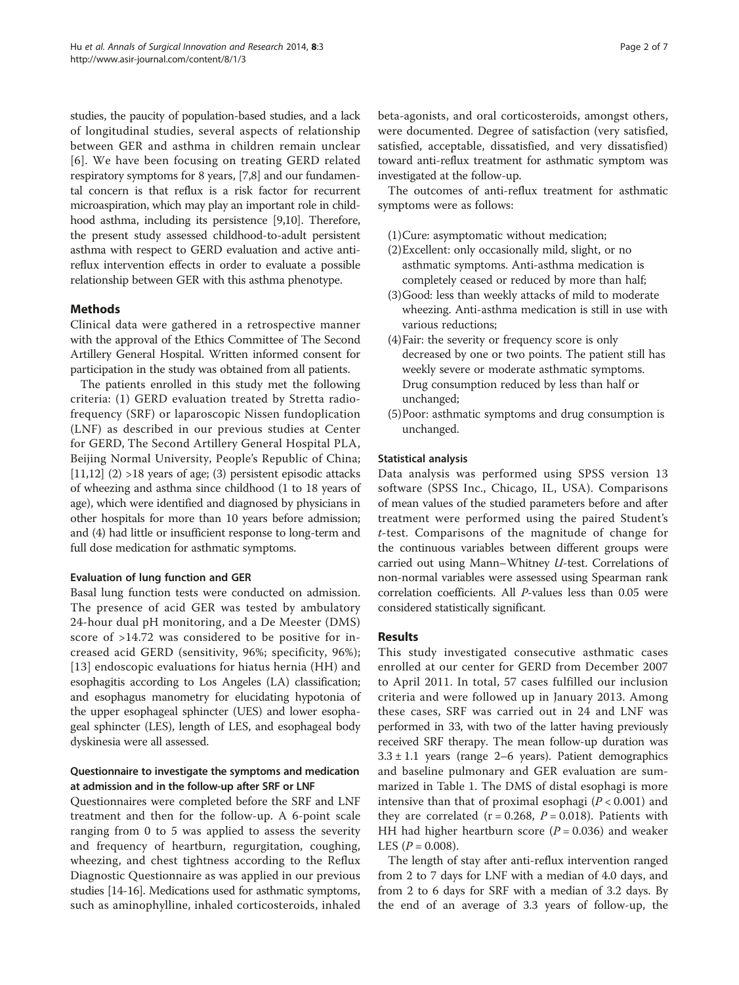studies, the paucity of population-based studies, and a lack of longitudinal studies, several aspects of relationship between GER and asthma in children remain unclear [[6](#page-5-0)]. We have been focusing on treating GERD related respiratory symptoms for 8 years, [\[7,8](#page-5-0)] and our fundamental concern is that reflux is a risk factor for recurrent microaspiration, which may play an important role in childhood asthma, including its persistence [\[9,10\]](#page-5-0). Therefore, the present study assessed childhood-to-adult persistent asthma with respect to GERD evaluation and active antireflux intervention effects in order to evaluate a possible relationship between GER with this asthma phenotype.

## Methods

Clinical data were gathered in a retrospective manner with the approval of the Ethics Committee of The Second Artillery General Hospital. Written informed consent for participation in the study was obtained from all patients.

The patients enrolled in this study met the following criteria: (1) GERD evaluation treated by Stretta radiofrequency (SRF) or laparoscopic Nissen fundoplication (LNF) as described in our previous studies at Center for GERD, The Second Artillery General Hospital PLA, Beijing Normal University, People's Republic of China; [[11,12](#page-5-0)]  $(2) > 18$  years of age; (3) persistent episodic attacks of wheezing and asthma since childhood (1 to 18 years of age), which were identified and diagnosed by physicians in other hospitals for more than 10 years before admission; and (4) had little or insufficient response to long-term and full dose medication for asthmatic symptoms.

## Evaluation of lung function and GER

Basal lung function tests were conducted on admission. The presence of acid GER was tested by ambulatory 24-hour dual pH monitoring, and a De Meester (DMS) score of  $>14.72$  was considered to be positive for increased acid GERD (sensitivity, 96%; specificity, 96%); [[13](#page-5-0)] endoscopic evaluations for hiatus hernia (HH) and esophagitis according to Los Angeles (LA) classification; and esophagus manometry for elucidating hypotonia of the upper esophageal sphincter (UES) and lower esophageal sphincter (LES), length of LES, and esophageal body dyskinesia were all assessed.

## Questionnaire to investigate the symptoms and medication at admission and in the follow-up after SRF or LNF

Questionnaires were completed before the SRF and LNF treatment and then for the follow-up. A 6-point scale ranging from 0 to 5 was applied to assess the severity and frequency of heartburn, regurgitation, coughing, wheezing, and chest tightness according to the Reflux Diagnostic Questionnaire as was applied in our previous studies [[14](#page-5-0)-[16](#page-6-0)]. Medications used for asthmatic symptoms, such as aminophylline, inhaled corticosteroids, inhaled

beta-agonists, and oral corticosteroids, amongst others, were documented. Degree of satisfaction (very satisfied, satisfied, acceptable, dissatisfied, and very dissatisfied)

toward anti-reflux treatment for asthmatic symptom was investigated at the follow-up. The outcomes of anti-reflux treatment for asthmatic symptoms were as follows:

- (1)Cure: asymptomatic without medication;
- (2)Excellent: only occasionally mild, slight, or no asthmatic symptoms. Anti-asthma medication is completely ceased or reduced by more than half;
- (3)Good: less than weekly attacks of mild to moderate wheezing. Anti-asthma medication is still in use with various reductions;
- (4)Fair: the severity or frequency score is only decreased by one or two points. The patient still has weekly severe or moderate asthmatic symptoms. Drug consumption reduced by less than half or unchanged;
- (5)Poor: asthmatic symptoms and drug consumption is unchanged.

## Statistical analysis

Data analysis was performed using SPSS version 13 software (SPSS Inc., Chicago, IL, USA). Comparisons of mean values of the studied parameters before and after treatment were performed using the paired Student's t-test. Comparisons of the magnitude of change for the continuous variables between different groups were carried out using Mann–Whitney U-test. Correlations of non-normal variables were assessed using Spearman rank correlation coefficients. All P-values less than 0.05 were considered statistically significant.

## Results

This study investigated consecutive asthmatic cases enrolled at our center for GERD from December 2007 to April 2011. In total, 57 cases fulfilled our inclusion criteria and were followed up in January 2013. Among these cases, SRF was carried out in 24 and LNF was performed in 33, with two of the latter having previously received SRF therapy. The mean follow-up duration was  $3.3 \pm 1.1$  years (range 2–6 years). Patient demographics and baseline pulmonary and GER evaluation are summarized in Table [1.](#page-2-0) The DMS of distal esophagi is more intensive than that of proximal esophagi  $(P < 0.001)$  and they are correlated ( $r = 0.268$ ,  $P = 0.018$ ). Patients with HH had higher heartburn score ( $P = 0.036$ ) and weaker LES  $(P = 0.008)$ .

The length of stay after anti-reflux intervention ranged from 2 to 7 days for LNF with a median of 4.0 days, and from 2 to 6 days for SRF with a median of 3.2 days. By the end of an average of 3.3 years of follow-up, the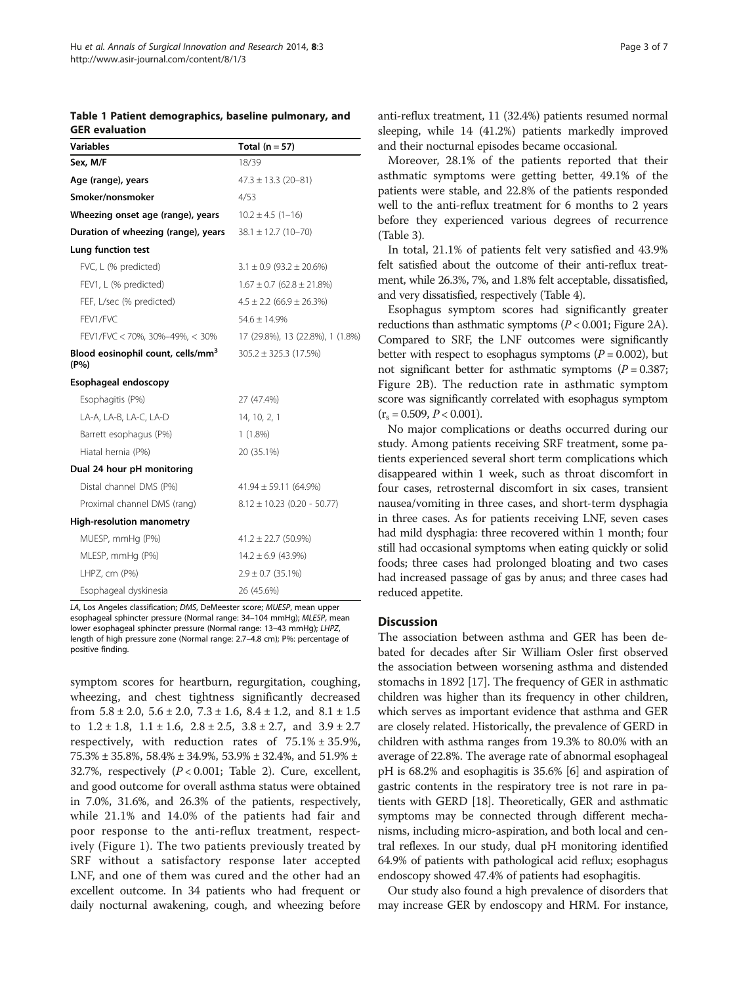<span id="page-2-0"></span>Table 1 Patient demographics, baseline pulmonary, and GER evaluation

| <b>Variables</b>                                         | Total ( $n = 57$ )                |  |
|----------------------------------------------------------|-----------------------------------|--|
| Sex, M/F                                                 | 18/39                             |  |
| Age (range), years                                       | $47.3 \pm 13.3$ (20-81)           |  |
| Smoker/nonsmoker                                         | 4/53                              |  |
| Wheezing onset age (range), years                        | $10.2 \pm 4.5$ (1-16)             |  |
| Duration of wheezing (range), years                      | $38.1 \pm 12.7$ (10-70)           |  |
| Lung function test                                       |                                   |  |
| FVC, L (% predicted)                                     | $3.1 \pm 0.9$ (93.2 $\pm$ 20.6%)  |  |
| FEV1, L (% predicted)                                    | $1.67 \pm 0.7$ (62.8 $\pm$ 21.8%) |  |
| FEF, L/sec (% predicted)                                 | $4.5 \pm 2.2$ (66.9 $\pm$ 26.3%)  |  |
| FEV1/FVC                                                 | $54.6 \pm 14.9\%$                 |  |
| FEV1/FVC < 70%, 30%-49%, < 30%                           | 17 (29.8%), 13 (22.8%), 1 (1.8%)  |  |
| Blood eosinophil count, cells/mm <sup>3</sup><br>$(P\%)$ | $305.2 \pm 325.3$ (17.5%)         |  |
| Esophageal endoscopy                                     |                                   |  |
| Esophagitis (P%)                                         | 27 (47.4%)                        |  |
| LA-A, LA-B, LA-C, LA-D                                   | 14, 10, 2, 1                      |  |
| Barrett esophagus (P%)                                   | $1(1.8\%)$                        |  |
| Hiatal hernia (P%)                                       | 20 (35.1%)                        |  |
| Dual 24 hour pH monitoring                               |                                   |  |
| Distal channel DMS (P%)                                  | $41.94 \pm 59.11(64.9\%)$         |  |
| Proximal channel DMS (rang)                              | $8.12 \pm 10.23$ (0.20 - 50.77)   |  |
| <b>High-resolution manometry</b>                         |                                   |  |
| MUESP, mmHg (P%)                                         | $41.2 \pm 22.7$ (50.9%)           |  |
| MLESP, mmHg (P%)                                         | $14.2 \pm 6.9$ (43.9%)            |  |
| LHPZ, cm (P%)                                            | $2.9 \pm 0.7$ (35.1%)             |  |
| Esophageal dyskinesia                                    | 26 (45.6%)                        |  |

LA, Los Angeles classification; DMS, DeMeester score; MUESP, mean upper esophageal sphincter pressure (Normal range: 34–104 mmHg); MLESP, mean lower esophageal sphincter pressure (Normal range: 13–43 mmHg); LHPZ, length of high pressure zone (Normal range: 2.7–4.8 cm); P%: percentage of positive finding.

symptom scores for heartburn, regurgitation, coughing, wheezing, and chest tightness significantly decreased from  $5.8 \pm 2.0$ ,  $5.6 \pm 2.0$ ,  $7.3 \pm 1.6$ ,  $8.4 \pm 1.2$ , and  $8.1 \pm 1.5$ to  $1.2 \pm 1.8$ ,  $1.1 \pm 1.6$ ,  $2.8 \pm 2.5$ ,  $3.8 \pm 2.7$ , and  $3.9 \pm 2.7$ respectively, with reduction rates of  $75.1\% \pm 35.9\%$ ,  $75.3\% \pm 35.8\%, 58.4\% \pm 34.9\%, 53.9\% \pm 32.4\%, \text{ and } 51.9\% \pm$ 32.7%, respectively  $(P < 0.001$ ; Table [2](#page-3-0)). Cure, excellent, and good outcome for overall asthma status were obtained in 7.0%, 31.6%, and 26.3% of the patients, respectively, while 21.1% and 14.0% of the patients had fair and poor response to the anti-reflux treatment, respectively (Figure [1](#page-3-0)). The two patients previously treated by SRF without a satisfactory response later accepted LNF, and one of them was cured and the other had an excellent outcome. In 34 patients who had frequent or daily nocturnal awakening, cough, and wheezing before anti-reflux treatment, 11 (32.4%) patients resumed normal sleeping, while 14 (41.2%) patients markedly improved and their nocturnal episodes became occasional.

Moreover, 28.1% of the patients reported that their asthmatic symptoms were getting better, 49.1% of the patients were stable, and 22.8% of the patients responded well to the anti-reflux treatment for 6 months to 2 years before they experienced various degrees of recurrence (Table [3](#page-3-0)).

In total, 21.1% of patients felt very satisfied and 43.9% felt satisfied about the outcome of their anti-reflux treatment, while 26.3%, 7%, and 1.8% felt acceptable, dissatisfied, and very dissatisfied, respectively (Table [4\)](#page-4-0).

Esophagus symptom scores had significantly greater reductions than asthmatic symptoms  $(P < 0.001$ ; Figure [2A](#page-4-0)). Compared to SRF, the LNF outcomes were significantly better with respect to esophagus symptoms ( $P = 0.002$ ), but not significant better for asthmatic symptoms  $(P = 0.387)$ ; Figure [2B](#page-4-0)). The reduction rate in asthmatic symptom score was significantly correlated with esophagus symptom  $(r<sub>s</sub> = 0.509, P < 0.001).$ 

No major complications or deaths occurred during our study. Among patients receiving SRF treatment, some patients experienced several short term complications which disappeared within 1 week, such as throat discomfort in four cases, retrosternal discomfort in six cases, transient nausea/vomiting in three cases, and short-term dysphagia in three cases. As for patients receiving LNF, seven cases had mild dysphagia: three recovered within 1 month; four still had occasional symptoms when eating quickly or solid foods; three cases had prolonged bloating and two cases had increased passage of gas by anus; and three cases had reduced appetite.

## **Discussion**

The association between asthma and GER has been debated for decades after Sir William Osler first observed the association between worsening asthma and distended stomachs in 1892 [\[17\]](#page-6-0). The frequency of GER in asthmatic children was higher than its frequency in other children, which serves as important evidence that asthma and GER are closely related. Historically, the prevalence of GERD in children with asthma ranges from 19.3% to 80.0% with an average of 22.8%. The average rate of abnormal esophageal pH is 68.2% and esophagitis is 35.6% [\[6](#page-5-0)] and aspiration of gastric contents in the respiratory tree is not rare in patients with GERD [\[18](#page-6-0)]. Theoretically, GER and asthmatic symptoms may be connected through different mechanisms, including micro-aspiration, and both local and central reflexes. In our study, dual pH monitoring identified 64.9% of patients with pathological acid reflux; esophagus endoscopy showed 47.4% of patients had esophagitis.

Our study also found a high prevalence of disorders that may increase GER by endoscopy and HRM. For instance,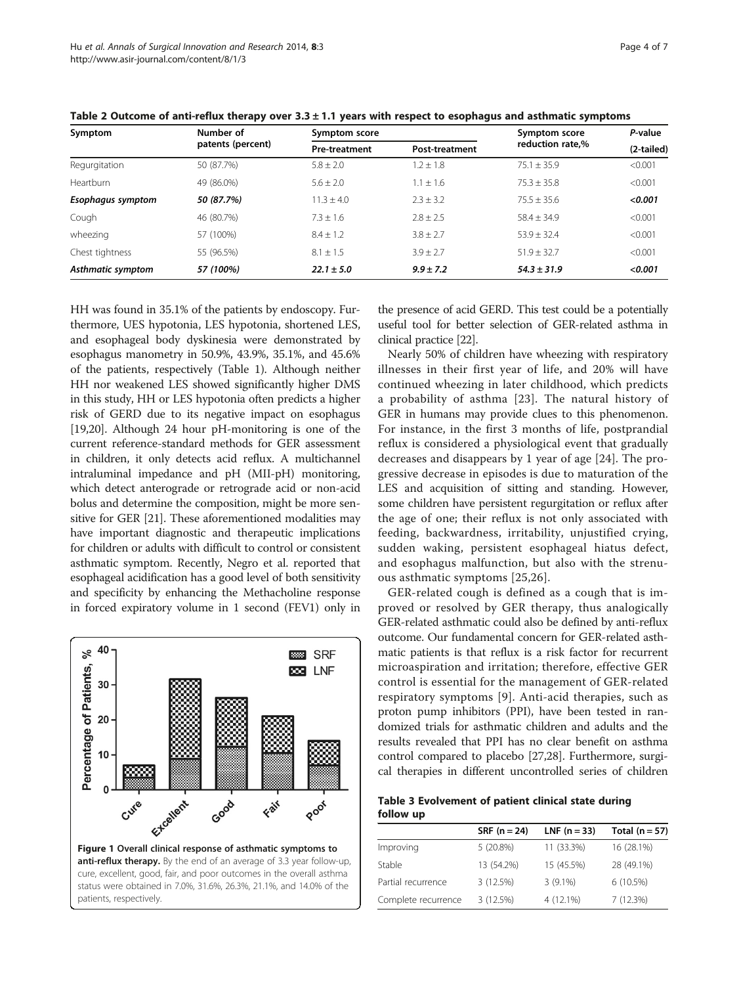| Symptom                  | Number of<br>patents (percent) | Symptom score        |                |                  | P-value    |
|--------------------------|--------------------------------|----------------------|----------------|------------------|------------|
|                          |                                | <b>Pre-treatment</b> | Post-treatment | reduction rate,% | (2-tailed) |
| Regurgitation            | 50 (87.7%)                     | $5.8 + 2.0$          | $1.2 + 1.8$    | $75.1 + 35.9$    | < 0.001    |
| <b>Heartburn</b>         | 49 (86.0%)                     | $5.6 + 2.0$          | $1.1 + 1.6$    | $75.3 + 35.8$    | < 0.001    |
| <b>Esophagus symptom</b> | 50 (87.7%)                     | $11.3 + 4.0$         | $2.3 + 3.2$    | $75.5 + 35.6$    | < 0.001    |
| Cough                    | 46 (80.7%)                     | $7.3 + 1.6$          | $2.8 + 2.5$    | $58.4 + 34.9$    | < 0.001    |
| wheezing                 | 57 (100%)                      | $8.4 + 1.2$          | $3.8 + 2.7$    | $53.9 + 32.4$    | < 0.001    |
| Chest tightness          | 55 (96.5%)                     | $8.1 \pm 1.5$        | $3.9 + 2.7$    | $51.9 + 32.7$    | < 0.001    |
| Asthmatic symptom        | 57 (100%)                      | $22.1 \pm 5.0$       | $9.9 \pm 7.2$  | $54.3 \pm 31.9$  | < 0.001    |

<span id="page-3-0"></span>Table 2 Outcome of anti-reflux therapy over  $3.3 \pm 1.1$  years with respect to esophagus and asthmatic symptoms

HH was found in 35.1% of the patients by endoscopy. Furthermore, UES hypotonia, LES hypotonia, shortened LES, and esophageal body dyskinesia were demonstrated by esophagus manometry in 50.9%, 43.9%, 35.1%, and 45.6% of the patients, respectively (Table [1](#page-2-0)). Although neither HH nor weakened LES showed significantly higher DMS in this study, HH or LES hypotonia often predicts a higher risk of GERD due to its negative impact on esophagus [[19,20](#page-6-0)]. Although 24 hour pH-monitoring is one of the current reference-standard methods for GER assessment in children, it only detects acid reflux. A multichannel intraluminal impedance and pH (MII-pH) monitoring, which detect anterograde or retrograde acid or non-acid bolus and determine the composition, might be more sensitive for GER [\[21\]](#page-6-0). These aforementioned modalities may have important diagnostic and therapeutic implications for children or adults with difficult to control or consistent asthmatic symptom. Recently, Negro et al. reported that esophageal acidification has a good level of both sensitivity and specificity by enhancing the Methacholine response in forced expiratory volume in 1 second (FEV1) only in



the presence of acid GERD. This test could be a potentially useful tool for better selection of GER-related asthma in clinical practice [\[22](#page-6-0)].

Nearly 50% of children have wheezing with respiratory illnesses in their first year of life, and 20% will have continued wheezing in later childhood, which predicts a probability of asthma [[23\]](#page-6-0). The natural history of GER in humans may provide clues to this phenomenon. For instance, in the first 3 months of life, postprandial reflux is considered a physiological event that gradually decreases and disappears by 1 year of age [[24](#page-6-0)]. The progressive decrease in episodes is due to maturation of the LES and acquisition of sitting and standing. However, some children have persistent regurgitation or reflux after the age of one; their reflux is not only associated with feeding, backwardness, irritability, unjustified crying, sudden waking, persistent esophageal hiatus defect, and esophagus malfunction, but also with the strenuous asthmatic symptoms [\[25,26](#page-6-0)].

GER-related cough is defined as a cough that is improved or resolved by GER therapy, thus analogically GER-related asthmatic could also be defined by anti-reflux outcome. Our fundamental concern for GER-related asthmatic patients is that reflux is a risk factor for recurrent microaspiration and irritation; therefore, effective GER control is essential for the management of GER-related respiratory symptoms [[9\]](#page-5-0). Anti-acid therapies, such as proton pump inhibitors (PPI), have been tested in randomized trials for asthmatic children and adults and the results revealed that PPI has no clear benefit on asthma control compared to placebo [\[27,28](#page-6-0)]. Furthermore, surgical therapies in different uncontrolled series of children

Table 3 Evolvement of patient clinical state during follow up

|                     | $SRF (n = 24)$ | $LNF (n = 33)$ | Total $(n = 57)$ |
|---------------------|----------------|----------------|------------------|
| Improving           | 5 (20.8%)      | 11 (33.3%)     | 16 (28.1%)       |
| Stable              | 13 (54.2%)     | 15 (45.5%)     | 28 (49.1%)       |
| Partial recurrence  | 3 (12.5%)      | $3(9.1\%)$     | 6(10.5%)         |
| Complete recurrence | 3 (12.5%)      | 4 (12.1%)      | 7(12.3%)         |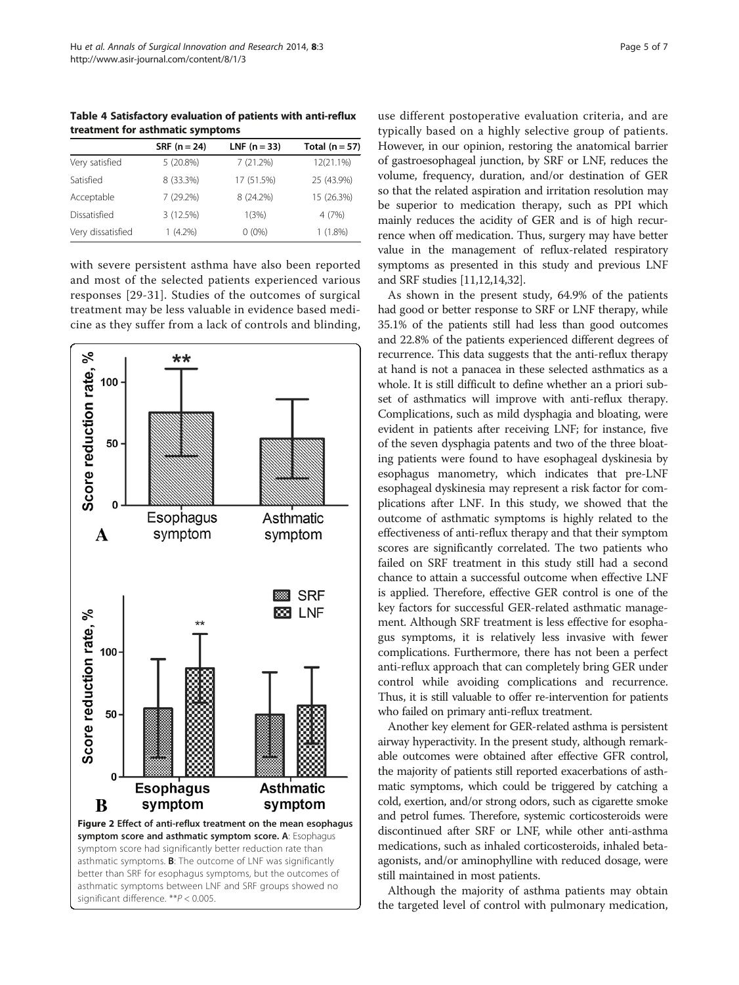<span id="page-4-0"></span>Table 4 Satisfactory evaluation of patients with anti-reflux treatment for asthmatic symptoms

|                   | SRF $(n = 24)$ | $LNF (n = 33)$ | Total $(n = 57)$ |
|-------------------|----------------|----------------|------------------|
| Very satisfied    | 5(20.8%)       | 7(21.2%)       | 12(21.1%)        |
| Satisfied         | 8 (33.3%)      | 17 (51.5%)     | 25 (43.9%)       |
| Acceptable        | 7 (29.2%)      | 8 (24.2%)      | 15 (26.3%)       |
| Dissatisfied      | 3 (12.5%)      | 1(3%)          | 4 (7%)           |
| Very dissatisfied | $1(4.2\%)$     | $0(0\%)$       | $1(1.8\%)$       |

with severe persistent asthma have also been reported and most of the selected patients experienced various responses [[29](#page-6-0)-[31](#page-6-0)]. Studies of the outcomes of surgical treatment may be less valuable in evidence based medicine as they suffer from a lack of controls and blinding,



use different postoperative evaluation criteria, and are typically based on a highly selective group of patients. However, in our opinion, restoring the anatomical barrier of gastroesophageal junction, by SRF or LNF, reduces the volume, frequency, duration, and/or destination of GER so that the related aspiration and irritation resolution may be superior to medication therapy, such as PPI which mainly reduces the acidity of GER and is of high recurrence when off medication. Thus, surgery may have better value in the management of reflux-related respiratory symptoms as presented in this study and previous LNF and SRF studies [[11,12,14,](#page-5-0)[32\]](#page-6-0).

As shown in the present study, 64.9% of the patients had good or better response to SRF or LNF therapy, while 35.1% of the patients still had less than good outcomes and 22.8% of the patients experienced different degrees of recurrence. This data suggests that the anti-reflux therapy at hand is not a panacea in these selected asthmatics as a whole. It is still difficult to define whether an a priori subset of asthmatics will improve with anti-reflux therapy. Complications, such as mild dysphagia and bloating, were evident in patients after receiving LNF; for instance, five of the seven dysphagia patents and two of the three bloating patients were found to have esophageal dyskinesia by esophagus manometry, which indicates that pre-LNF esophageal dyskinesia may represent a risk factor for complications after LNF. In this study, we showed that the outcome of asthmatic symptoms is highly related to the effectiveness of anti-reflux therapy and that their symptom scores are significantly correlated. The two patients who failed on SRF treatment in this study still had a second chance to attain a successful outcome when effective LNF is applied. Therefore, effective GER control is one of the key factors for successful GER-related asthmatic management. Although SRF treatment is less effective for esophagus symptoms, it is relatively less invasive with fewer complications. Furthermore, there has not been a perfect anti-reflux approach that can completely bring GER under control while avoiding complications and recurrence. Thus, it is still valuable to offer re-intervention for patients who failed on primary anti-reflux treatment.

Another key element for GER-related asthma is persistent airway hyperactivity. In the present study, although remarkable outcomes were obtained after effective GFR control, the majority of patients still reported exacerbations of asthmatic symptoms, which could be triggered by catching a cold, exertion, and/or strong odors, such as cigarette smoke and petrol fumes. Therefore, systemic corticosteroids were discontinued after SRF or LNF, while other anti-asthma medications, such as inhaled corticosteroids, inhaled betaagonists, and/or aminophylline with reduced dosage, were still maintained in most patients.

Although the majority of asthma patients may obtain the targeted level of control with pulmonary medication,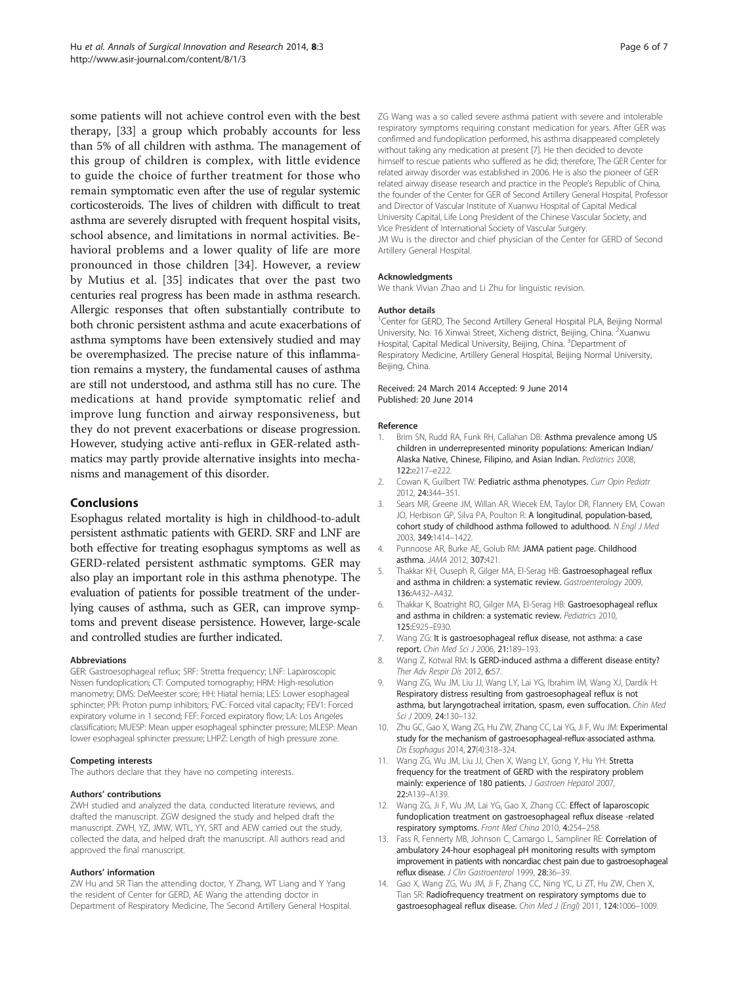<span id="page-5-0"></span>some patients will not achieve control even with the best therapy, [[33\]](#page-6-0) a group which probably accounts for less than 5% of all children with asthma. The management of this group of children is complex, with little evidence to guide the choice of further treatment for those who remain symptomatic even after the use of regular systemic corticosteroids. The lives of children with difficult to treat asthma are severely disrupted with frequent hospital visits, school absence, and limitations in normal activities. Behavioral problems and a lower quality of life are more pronounced in those children [[34\]](#page-6-0). However, a review by Mutius et al. [\[35](#page-6-0)] indicates that over the past two centuries real progress has been made in asthma research. Allergic responses that often substantially contribute to both chronic persistent asthma and acute exacerbations of asthma symptoms have been extensively studied and may be overemphasized. The precise nature of this inflammation remains a mystery, the fundamental causes of asthma are still not understood, and asthma still has no cure. The medications at hand provide symptomatic relief and improve lung function and airway responsiveness, but they do not prevent exacerbations or disease progression. However, studying active anti-reflux in GER-related asthmatics may partly provide alternative insights into mechanisms and management of this disorder.

#### Conclusions

Esophagus related mortality is high in childhood-to-adult persistent asthmatic patients with GERD. SRF and LNF are both effective for treating esophagus symptoms as well as GERD-related persistent asthmatic symptoms. GER may also play an important role in this asthma phenotype. The evaluation of patients for possible treatment of the underlying causes of asthma, such as GER, can improve symptoms and prevent disease persistence. However, large-scale and controlled studies are further indicated.

#### Abbreviations

GER: Gastroesophageal reflux; SRF: Stretta frequency; LNF: Laparoscopic Nissen fundoplication; CT: Computed tomography; HRM: High-resolution manometry; DMS: DeMeester score; HH: Hiatal hernia; LES: Lower esophageal sphincter; PPI: Proton pump inhibitors; FVC: Forced vital capacity; FEV1: Forced expiratory volume in 1 second; FEF: Forced expiratory flow; LA: Los Angeles classification; MUESP: Mean upper esophageal sphincter pressure; MLESP: Mean lower esophageal sphincter pressure; LHPZ: Length of high pressure zone.

#### Competing interests

The authors declare that they have no competing interests.

#### Authors' contributions

ZWH studied and analyzed the data, conducted literature reviews, and drafted the manuscript. ZGW designed the study and helped draft the manuscript. ZWH, YZ, JMW, WTL, YY, SRT and AEW carried out the study, collected the data, and helped draft the manuscript. All authors read and approved the final manuscript.

#### Authors' information

ZW Hu and SR Tian the attending doctor, Y Zhang, WT Liang and Y Yang the resident of Center for GERD, AE Wang the attending doctor in Department of Respiratory Medicine, The Second Artillery General Hospital.

ZG Wang was a so called severe asthma patient with severe and intolerable respiratory symptoms requiring constant medication for years. After GER was confirmed and fundoplication performed, his asthma disappeared completely without taking any medication at present [7]. He then decided to devote himself to rescue patients who suffered as he did; therefore, The GER Center for related airway disorder was established in 2006. He is also the pioneer of GER related airway disease research and practice in the People's Republic of China, the founder of the Center for GER of Second Artillery General Hospital, Professor and Director of Vascular Institute of Xuanwu Hospital of Capital Medical University Capital, Life Long President of the Chinese Vascular Society, and Vice President of International Society of Vascular Surgery. JM Wu is the director and chief physician of the Center for GERD of Second Artillery General Hospital.

#### Acknowledgments

We thank Vivian Zhao and Li Zhu for linguistic revision.

#### Author details

<sup>1</sup> Center for GERD, The Second Artillery General Hospital PLA, Beijing Normal University, No. 16 Xinwai Street, Xicheng district, Beijing, China. <sup>2</sup>Xuanwu Hospital, Capital Medical University, Beijing, China. <sup>3</sup>Department of Respiratory Medicine, Artillery General Hospital, Beijing Normal University, Beijing, China.

#### Received: 24 March 2014 Accepted: 9 June 2014 Published: 20 June 2014

#### Reference

- 1. Brim SN, Rudd RA, Funk RH, Callahan DB: Asthma prevalence among US children in underrepresented minority populations: American Indian/ Alaska Native, Chinese, Filipino, and Asian Indian. Pediatrics 2008, 122:e217–e222.
- 2. Cowan K, Guilbert TW: Pediatric asthma phenotypes. Curr Opin Pediatr 2012, 24:344–351.
- 3. Sears MR, Greene JM, Willan AR, Wiecek EM, Taylor DR, Flannery EM, Cowan JO, Herbison GP, Silva PA, Poulton R: A longitudinal, population-based, cohort study of childhood asthma followed to adulthood. N Engl J Med 2003, 349:1414–1422.
- 4. Punnoose AR, Burke AE, Golub RM: JAMA patient page. Childhood asthma. JAMA 2012, 307:421.
- 5. Thakkar KH, Ouseph R, Gilger MA, El-Serag HB: Gastroesophageal reflux and asthma in children: a systematic review. Gastroenterology 2009, 136:A432–A432.
- 6. Thakkar K, Boatright RO, Gilger MA, El-Serag HB: Gastroesophageal reflux and asthma in children: a systematic review. Pediatrics 2010, 125:E925–E930.
- 7. Wang ZG: It is gastroesophageal reflux disease, not asthma: a case report. Chin Med Sci J 2006, 21:189–193.
- 8. Wang Z, Kotwal RM: Is GERD-induced asthma a different disease entity? Ther Adv Respir Dis 2012, 6:57.
- 9. Wang ZG, Wu JM, Liu JJ, Wang LY, Lai YG, Ibrahim IM, Wang XJ, Dardik H: Respiratory distress resulting from gastroesophageal reflux is not asthma, but laryngotracheal irritation, spasm, even suffocation. Chin Med Sci J 2009, 24:130–132.
- 10. Zhu GC, Gao X, Wang ZG, Hu ZW, Zhang CC, Lai YG, Ji F, Wu JM: Experimental study for the mechanism of gastroesophageal-reflux-associated asthma. Dis Esophagus 2014, 27(4):318–324.
- 11. Wang ZG, Wu JM, Liu JJ, Chen X, Wang LY, Gong Y, Hu YH: Stretta frequency for the treatment of GERD with the respiratory problem mainly: experience of 180 patients. J Gastroen Hepatol 2007, 22:A139–A139.
- 12. Wang ZG, Ji F, Wu JM, Lai YG, Gao X, Zhang CC: Effect of laparoscopic fundoplication treatment on gastroesophageal reflux disease -related respiratory symptoms. Front Med China 2010, 4:254–258.
- 13. Fass R, Fennerty MB, Johnson C, Camargo L, Sampliner RE: Correlation of ambulatory 24-hour esophageal pH monitoring results with symptom improvement in patients with noncardiac chest pain due to gastroesophageal reflux disease. J Clin Gastroenterol 1999, 28:36–39.
- 14. Gao X, Wang ZG, Wu JM, Ji F, Zhang CC, Ning YC, Li ZT, Hu ZW, Chen X, Tian SR: Radiofrequency treatment on respiratory symptoms due to gastroesophageal reflux disease. Chin Med J (Engl) 2011, 124:1006–1009.